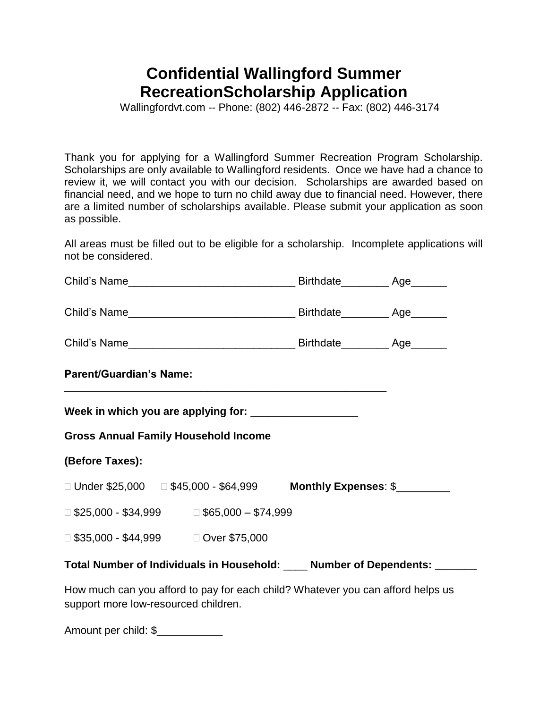## **Confidential Wallingford Summer RecreationScholarship Application**

Wallingfordvt.com -- Phone: (802) 446-2872 -- Fax: (802) 446-3174

Thank you for applying for a Wallingford Summer Recreation Program Scholarship. Scholarships are only available to Wallingford residents. Once we have had a chance to review it, we will contact you with our decision. Scholarships are awarded based on financial need, and we hope to turn no child away due to financial need. However, there are a limited number of scholarships available. Please submit your application as soon as possible.

All areas must be filled out to be eligible for a scholarship. Incomplete applications will not be considered.

| <b>Parent/Guardian's Name:</b>                        |                                                                                 |  |  |  |
|-------------------------------------------------------|---------------------------------------------------------------------------------|--|--|--|
|                                                       |                                                                                 |  |  |  |
| <b>Gross Annual Family Household Income</b>           |                                                                                 |  |  |  |
| (Before Taxes):                                       |                                                                                 |  |  |  |
|                                                       |                                                                                 |  |  |  |
| $\Box$ \$25,000 - \$34,999 $\Box$ \$65,000 - \$74,999 |                                                                                 |  |  |  |
| □ \$35,000 - \$44,999    □ Over \$75,000              |                                                                                 |  |  |  |
|                                                       | Total Number of Individuals in Household: ____ Number of Dependents: ______     |  |  |  |
|                                                       | How much can you afford to pay for each child? Whatever you can afford helps us |  |  |  |

Amount per child: \$\_\_\_\_\_\_\_\_\_\_\_

support more low-resourced children.